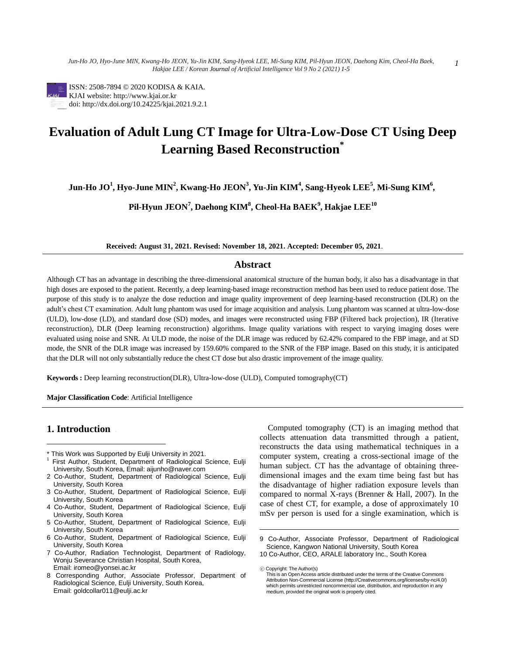

ISSN: 2508-7894 © 2020 KODISA & KAIA. KJAI website: http://www.kjai.or.kr doi: http://dx.doi.org/10.24225/kjai.2021.9.2.1

# **Evaluation of Adult Lung CT Image for Ultra-Low-Dose CT Using Deep Learning Based Reconstruction\***

**Jun-Ho JO<sup>1</sup> , Hyo-June MIN<sup>2</sup> , Kwang-Ho JEON<sup>3</sup> , Yu-Jin KIM<sup>4</sup> , Sang-Hyeok LEE<sup>5</sup> , Mi-Sung KIM<sup>6</sup> ,**

**Pil-Hyun JEON<sup>7</sup> , Daehong KIM<sup>8</sup> , Cheol-Ha BAEK<sup>9</sup> , Hakjae LEE<sup>10</sup>**

**Received: August 31, 2021. Revised: November 18, 2021. Accepted: December 05, 2021**.

#### **Abstract**

Although CT has an advantage in describing the three-dimensional anatomical structure of the human body, it also has a disadvantage in that high doses are exposed to the patient. Recently, a deep learning-based image reconstruction method has been used to reduce patient dose. The purpose of this study is to analyze the dose reduction and image quality improvement of deep learning-based reconstruction (DLR) on the adult's chest CT examination. Adult lung phantom was used for image acquisition and analysis. Lung phantom was scanned at ultra-low-dose (ULD), low-dose (LD), and standard dose (SD) modes, and images were reconstructed using FBP (Filtered back projection), IR (Iterative reconstruction), DLR (Deep learning reconstruction) algorithms. Image quality variations with respect to varying imaging doses were evaluated using noise and SNR. At ULD mode, the noise of the DLR image was reduced by 62.42% compared to the FBP image, and at SD mode, the SNR of the DLR image was increased by 159.60% compared to the SNR of the FBP image. Based on this study, it is anticipated that the DLR will not only substantially reduce the chest CT dose but also drastic improvement of the image quality.

 $\overline{a}$ 

**Keywords :** Deep learning reconstruction(DLR), Ultra-low-dose (ULD), Computed tomography(CT)

**Major Classification Code**: Artificial Intelligence

# **1.** Introduction

 $\overline{a}$ 

- This Work was Supported by Eulji University in 2021.
- <sup>1</sup> First Author, Student, Department of Radiological Science, Eulji University, South Korea, Email: aijunho@naver.com
- 2 Co-Author, Student, Department of Radiological Science, Eulji University, South Korea
- 3 Co-Author, Student, Department of Radiological Science, Eulji University, South Korea
- 4 Co-Author, Student, Department of Radiological Science, Eulji University, South Korea
- 5 Co-Author, Student, Department of Radiological Science, Eulji University, South Korea
- 6 Co-Author, Student, Department of Radiological Science, Eulji University, South Korea
- 7 Co-Author, Radiation Technologist, Department of Radiology, Wonju Severance Christian Hospital, South Korea, Email: iromeo@yonsei.ac.kr
- 8 Corresponding Author, Associate Professor, Department of Radiological Science, Eulji University, South Korea, Email: goldcollar011@eulji.ac.kr

Computed tomography (CT) is an imaging method that collects attenuation data transmitted through a patient, reconstructs the data using mathematical techniques in a computer system, creating a cross-sectional image of the human subject. CT has the advantage of obtaining threedimensional images and the exam time being fast but has the disadvantage of higher radiation exposure levels than compared to normal X-rays (Brenner & Hall, 2007). In the case of chest CT, for example, a dose of approximately 10 mSv per person is used for a single examination, which is

<sup>9</sup> Co-Author, Associate Professor, Department of Radiological Science, Kangwon National University, South Korea 10 Co-Author, CEO, ARALE laboratory Inc., South Korea

<sup>ⓒ</sup> Copyright: The Author(s) This is an Open Access article distributed under the terms of the Creative Commons Attribution Non-Commercial License (http://Creativecommons.org/licenses/by-nc/4.0/) which permits unrestricted noncommercial use, distribution, and reproduction in any medium, provided the original work is properly cited.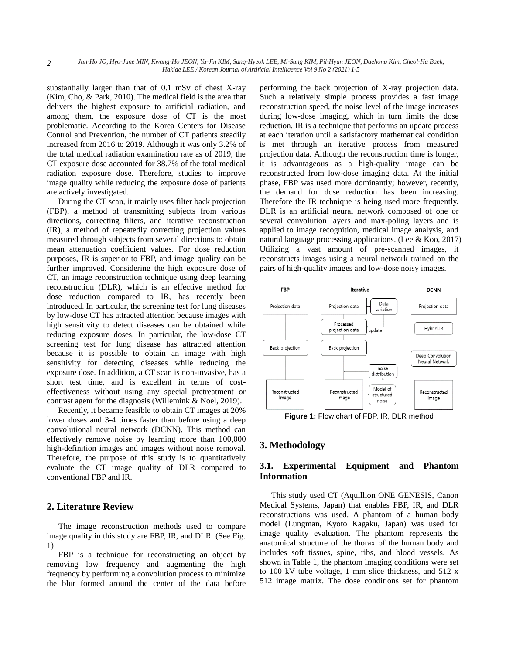substantially larger than that of 0.1 mSv of chest X-ray (Kim, Cho, & Park, 2010). The medical field is the area that delivers the highest exposure to artificial radiation, and among them, the exposure dose of CT is the most problematic. According to the Korea Centers for Disease Control and Prevention, the number of CT patients steadily increased from 2016 to 2019. Although it was only 3.2% of the total medical radiation examination rate as of 2019, the CT exposure dose accounted for 38.7% of the total medical radiation exposure dose. Therefore, studies to improve image quality while reducing the exposure dose of patients are actively investigated.

*2*

During the CT scan, it mainly uses filter back projection (FBP), a method of transmitting subjects from various directions, correcting filters, and iterative reconstruction (IR), a method of repeatedly correcting projection values measured through subjects from several directions to obtain mean attenuation coefficient values. For dose reduction purposes, IR is superior to FBP, and image quality can be further improved. Considering the high exposure dose of CT, an image reconstruction technique using deep learning reconstruction (DLR), which is an effective method for dose reduction compared to IR, has recently been introduced. In particular, the screening test for lung diseases by low-dose CT has attracted attention because images with high sensitivity to detect diseases can be obtained while reducing exposure doses. In particular, the low-dose CT screening test for lung disease has attracted attention because it is possible to obtain an image with high sensitivity for detecting diseases while reducing the exposure dose. In addition, a CT scan is non-invasive, has a short test time, and is excellent in terms of costeffectiveness without using any special pretreatment or contrast agent for the diagnosis (Willemink & Noel, 2019).

Recently, it became feasible to obtain CT images at 20% lower doses and 3-4 times faster than before using a deep convolutional neural network (DCNN). This method can effectively remove noise by learning more than 100,000 high-definition images and images without noise removal. Therefore, the purpose of this study is to quantitatively evaluate the CT image quality of DLR compared to conventional FBP and IR.

# **2. Literature Review**

The image reconstruction methods used to compare image quality in this study are FBP, IR, and DLR. (See Fig. 1)

FBP is a technique for reconstructing an object by removing low frequency and augmenting the high frequency by performing a convolution process to minimize the blur formed around the center of the data before performing the back projection of X-ray projection data. Such a relatively simple process provides a fast image reconstruction speed, the noise level of the image increases during low-dose imaging, which in turn limits the dose reduction. IR is a technique that performs an update process at each iteration until a satisfactory mathematical condition is met through an iterative process from measured projection data. Although the reconstruction time is longer, it is advantageous as a high-quality image can be reconstructed from low-dose imaging data. At the initial phase, FBP was used more dominantly; however, recently, the demand for dose reduction has been increasing. Therefore the IR technique is being used more frequently. DLR is an artificial neural network composed of one or several convolution layers and max-poling layers and is applied to image recognition, medical image analysis, and natural language processing applications. (Lee & Koo, 2017) Utilizing a vast amount of pre-scanned images, it reconstructs images using a neural network trained on the pairs of high-quality images and low-dose noisy images.



**Figure 1:** Flow chart of FBP, IR, DLR method

# **3. Methodology**

# **3.1. Experimental Equipment and Phantom Information**

This study used CT (Aquillion ONE GENESIS, Canon Medical Systems, Japan) that enables FBP, IR, and DLR reconstructions was used. A phantom of a human body model (Lungman, Kyoto Kagaku, Japan) was used for image quality evaluation. The phantom represents the anatomical structure of the thorax of the human body and includes soft tissues, spine, ribs, and blood vessels. As shown in Table 1, the phantom imaging conditions were set to 100 kV tube voltage, 1 mm slice thickness, and 512 x 512 image matrix. The dose conditions set for phantom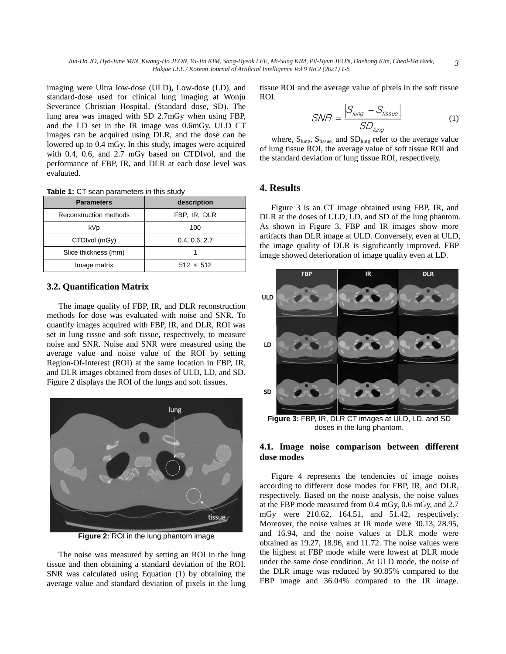imaging were Ultra low-dose (ULD), Low-dose (LD), and standard-dose used for clinical lung imaging at Wonju Severance Christian Hospital. (Standard dose, SD). The lung area was imaged with SD 2.7mGy when using FBP, and the LD set in the IR image was 0.6mGy. ULD CT images can be acquired using DLR, and the dose can be lowered up to 0.4 mGy. In this study, images were acquired with 0.4, 0.6, and 2.7 mGy based on CTDIvol, and the performance of FBP, IR, and DLR at each dose level was evaluated.

**Table 1:** CT scan parameters in this study

| <b>Parameters</b>      | description      |
|------------------------|------------------|
| Reconstruction methods | FBP, IR, DLR     |
| kVp                    | 100              |
| CTDIvol (mGy)          | 0.4, 0.6, 2.7    |
| Slice thickness (mm)   |                  |
| Image matrix           | $512 \times 512$ |

#### **3.2. Quantification Matrix**

The image quality of FBP, IR, and DLR reconstruction methods for dose was evaluated with noise and SNR. To quantify images acquired with FBP, IR, and DLR, ROI was set in lung tissue and soft tissue, respectively, to measure noise and SNR. Noise and SNR were measured using the average value and noise value of the ROI by setting Region-Of-Interest (ROI) at the same location in FBP, IR, and DLR images obtained from doses of ULD, LD, and SD. Figure 2 displays the ROI of the lungs and soft tissues.



**Figure 2:** ROI in the lung phantom image

The noise was measured by setting an ROI in the lung tissue and then obtaining a standard deviation of the ROI. SNR was calculated using Equation (1) by obtaining the average value and standard deviation of pixels in the lung tissue ROI and the average value of pixels in the soft tissue ROI.

$$
SNR = \frac{S_{lung} - S_{tissue}}{SD_{lung}}
$$
 (1)

where,  $S_{\text{lung}}$ ,  $S_{\text{tissue}}$ , and  $SD_{\text{lung}}$  refer to the average value of lung tissue ROI, the average value of soft tissue ROI and the standard deviation of lung tissue ROI, respectively.

#### **4. Results**

Figure 3 is an CT image obtained using FBP, IR, and DLR at the doses of ULD, LD, and SD of the lung phantom. As shown in Figure 3, FBP and IR images show more artifacts than DLR image at ULD. Conversely, even at ULD, the image quality of DLR is significantly improved. FBP image showed deterioration of image quality even at LD.



**Figure 3:** FBP, IR, DLR CT images at ULD, LD, and SD doses in the lung phantom.

#### **4.1. Image noise comparison between different dose modes**

Figure 4 represents the tendencies of image noises according to different dose modes for FBP, IR, and DLR, respectively. Based on the noise analysis, the noise values at the FBP mode measured from 0.4 mGy, 0.6 mGy, and 2.7 mGy were 210.62, 164.51, and 51.42, respectively. Moreover, the noise values at IR mode were 30.13, 28.95, and 16.94, and the noise values at DLR mode were obtained as 19.27, 18.96, and 11.72. The noise values were the highest at FBP mode while were lowest at DLR mode under the same dose condition. At ULD mode, the noise of the DLR image was reduced by 90.85% compared to the FBP image and 36.04% compared to the IR image.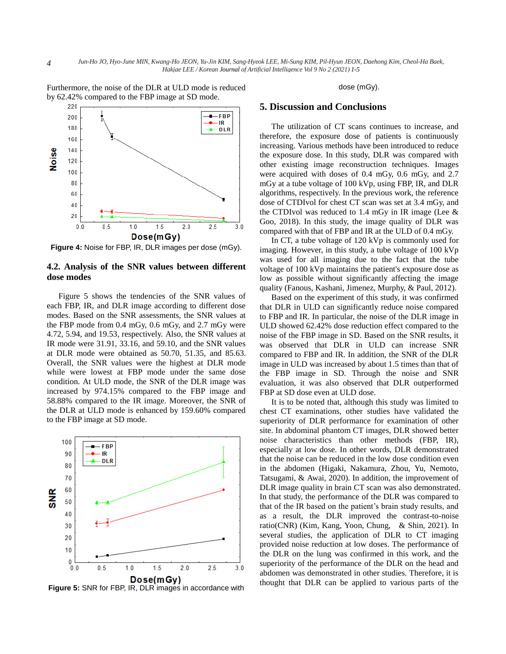220  $-FBP$ 200 IR 180 **DLR** 160  $140$ Noise 120 100 80 60 40 20  $0.0$  $2.0$  $2.5$  $3.0$  $0.5$  $1.0$  $1.5$ Dose(mGy)

Furthermore, the noise of the DLR at ULD mode is reduced by 62.42% compared to the FBP image at SD mode.

**Figure 4:** Noise for FBP, IR, DLR images per dose (mGy).

#### **4.2. Analysis of the SNR values between different dose modes**

Figure 5 shows the tendencies of the SNR values of each FBP, IR, and DLR image according to different dose modes. Based on the SNR assessments, the SNR values at the FBP mode from 0.4 mGy, 0.6 mGy, and 2.7 mGy were 4.72, 5.94, and 19.53, respectively. Also, the SNR values at IR mode were 31.91, 33.16, and 59.10, and the SNR values at DLR mode were obtained as 50.70, 51.35, and 85.63. Overall, the SNR values were the highest at DLR mode while were lowest at FBP mode under the same dose condition. At ULD mode, the SNR of the DLR image was increased by 974.15% compared to the FBP image and 58.88% compared to the IR image. Moreover, the SNR of the DLR at ULD mode is enhanced by 159.60% compared to the FBP image at SD mode.



**Figure 5:** SNR for FBP, IR, DLR images in accordance with

dose (mGy).

#### **5. Discussion and Conclusions**

The utilization of CT scans continues to increase, and therefore, the exposure dose of patients is continuously increasing. Various methods have been introduced to reduce the exposure dose. In this study, DLR was compared with other existing image reconstruction techniques. Images were acquired with doses of 0.4 mGy, 0.6 mGy, and 2.7 mGy at a tube voltage of 100 kVp, using FBP, IR, and DLR algorithms, respectively. In the previous work, the reference dose of CTDIvol for chest CT scan was set at 3.4 mGy, and the CTDIvol was reduced to 1.4 mGy in IR image (Lee  $\&$ Goo, 2018). In this study, the image quality of DLR was compared with that of FBP and IR at the ULD of 0.4 mGy.

In CT, a tube voltage of 120 kVp is commonly used for imaging. However, in this study, a tube voltage of 100 kVp was used for all imaging due to the fact that the tube voltage of 100 kVp maintains the patient's exposure dose as low as possible without significantly affecting the image quality (Fanous, Kashani, Jimenez, Murphy, & Paul, 2012).

Based on the experiment of this study, it was confirmed that DLR in ULD can significantly reduce noise compared to FBP and IR. In particular, the noise of the DLR image in ULD showed 62.42% dose reduction effect compared to the noise of the FBP image in SD. Based on the SNR results, it was observed that DLR in ULD can increase SNR compared to FBP and IR. In addition, the SNR of the DLR image in ULD was increased by about 1.5 times than that of the FBP image in SD. Through the noise and SNR evaluation, it was also observed that DLR outperformed FBP at SD dose even at ULD dose.

It is to be noted that, although this study was limited to chest CT examinations, other studies have validated the superiority of DLR performance for examination of other site. In abdominal phantom CT images, DLR showed better noise characteristics than other methods (FBP, IR), especially at low dose. In other words, DLR demonstrated that the noise can be reduced in the low dose condition even in the abdomen (Higaki, Nakamura, Zhou, Yu, Nemoto, Tatsugami, & Awai, 2020). In addition, the improvement of DLR image quality in brain CT scan was also demonstrated. In that study, the performance of the DLR was compared to that of the IR based on the patient's brain study results, and as a result, the DLR improved the contrast-to-noise ratio(CNR) (Kim, Kang, Yoon, Chung, & Shin, 2021). In several studies, the application of DLR to CT imaging provided noise reduction at low doses. The performance of the DLR on the lung was confirmed in this work, and the superiority of the performance of the DLR on the head and abdomen was demonstrated in other studies. Therefore, it is thought that DLR can be applied to various parts of the